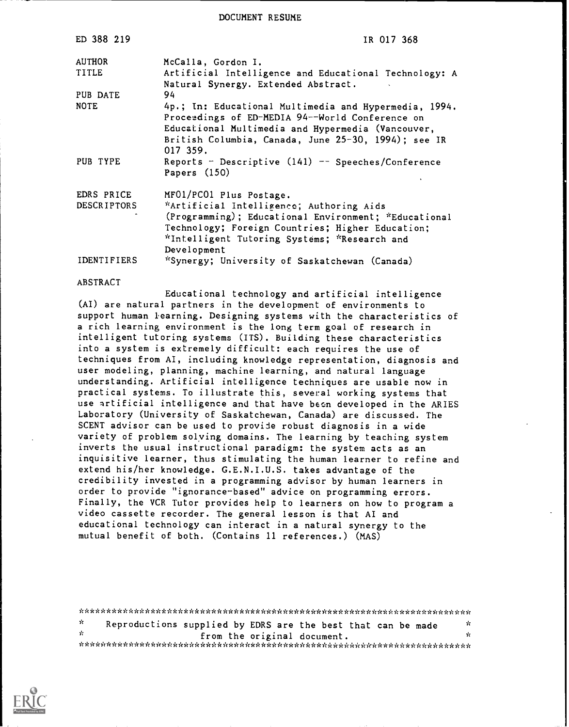DOCUMENT RESUME

| ED 388 219         | IR 017 368                                                                                                                                                                                                                        |
|--------------------|-----------------------------------------------------------------------------------------------------------------------------------------------------------------------------------------------------------------------------------|
| <b>AUTHOR</b>      | McCalla, Gordon I.                                                                                                                                                                                                                |
| TITLE              | Artificial Intelligence and Educational Technology: A<br>Natural Synergy. Extended Abstract.                                                                                                                                      |
| PUB DATE           | 94                                                                                                                                                                                                                                |
| <b>NOTE</b>        | 4p.; In: Educational Multimedia and Hypermedia, 1994.<br>Proceedings of ED-MEDIA 94--World Conference on<br>Educational Multimedia and Hypermedia (Vancouver,<br>British Columbia, Canada, June 25-30, 1994); see IR<br>017, 359. |
| PUB TYPE           | Reports - Descriptive $(141)$ -- Speeches/Conference<br>Papers $(150)$                                                                                                                                                            |
| EDRS PRICE         | MF01/PC01 Plus Postage.                                                                                                                                                                                                           |
| <b>DESCRIPTORS</b> | *Artificial Intelligence; Authoring Aids<br>(Programming); Educational Environment; *Educational<br>Technology; Foreign Countries; Higher Education;<br>*Intelligent Tutoring Systems; *Research and<br>Development               |
| IDENTIFIERS        | "Synergy; University of Saskatchewan (Canada)                                                                                                                                                                                     |

## ABSTRACT

Educational technology and artificial intelligence (AI) are natural partners in the development of environments to support human learning. Designing systems with the characteristics of a rich learning environment is the long term goal of research in intelligent tutoring systems (ITS). Building these characteristics into a system is extremely difficult: each requires the use of techniques from AI, including knowledge representation, diagnosis and user modeling, planning, machine learning, and natural language understanding. Artificial intelligence techniques are usable now in practical systems. To illustrate this, several working systems that use artificial intelligence and that have been developed in the ARIES Laboratory (University of Saskatchewan, Canada) are discussed. The SCENT advisor can be used to provide robust diagnosis in a wide variety of problem solving domains. The learning by teaching system inverts the usual instructional paradigm: the system acts as an inquisitive learner, thus stimulating the human learner to refine and extend his/her knowledge. G.E.N.I.U.S. takes advantage of the credibility invested in a programming advisor by human learners in order to provide "ignorance-based" advice on programming errors. Finally, the VCR Tutor provides help to learners on how to program a video cassette recorder. The general lesson is that AI and educational technology can interact in a natural synergy to the mutual benefit of both. (Contains 11 references.) (MAS)

\*\*\*\*\*\*\*\*\*\*\*\*\*\*\*\*\*\*\*\*\*\*\*\*\*\*\*\*\*\*\*\*\*\*\*\*\*\*\*\*\*\*\*\*\*\*\*\*\*\*\*\*\*\*\*\*\*\*\*\*\*\*\*\*\*\*\*\*\*\*\* Sc. Reproductions supplied by EDRS are the best that can be made from the original document. \*\*\*\*\*\*\*\*\*\*\*\*\*\*\*\*\*\*\*\*\*\*\*\*\*\*\*\*\*\*\*\*\*\*\*\*\*\*\*\*\*\*\*\*\*\*\*\*\*\*\*\*\*\*\*\*\*\*\*\*\*\*\*\*\*\*\*\*\*\*\*

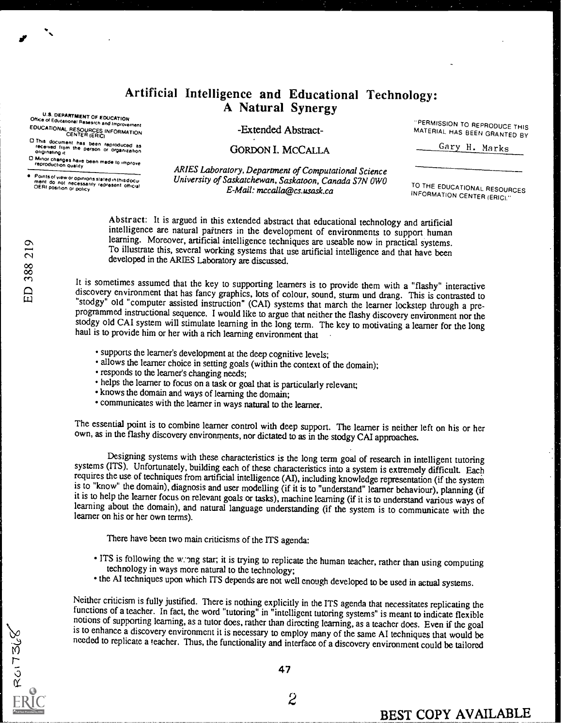## Artificial Intelligence and Educational Technology: A Natural Synergy

U.S. DEPARTMENT OF EDUCATION<br>Office of Educations: Research and improvement EDUCATIONAL RESOURCES INFORMATION CENTER (ERIC)

0 This document has been reproduced as<br>received from the person or organization<br>originating it

O Minor changes have been made to improve<br>reproduction quality

Points of view or opinions stated in this docu-<br>ment :do: not :necessarily represent: official<br>OERI position or policy

-Extended Abstract-

PERMISSION TO REPRODUCE THIS MATERIAL HAS BEEN GRANTED BY

Gary H. Marks

GORDON I. MCCALLA

ARIES Laboratory, Department of Computational Science University of Saskatchewan, Saskatoon, Canada S7N OWO E-Mail: mccalla@cs.usask.ca

TO THE EDUCATIONAL RESOURCES INFORMATION CENTER (ERIC)

Abstract: It is argued in this extended abstract that educational technology and artificial intelligence are natural partners in the development of environments to support human learning. Moreover, artificial intelligence techniques are useable now in practical systems. To illustrate this, several working systems that use artificial intelligence and that have been developed in the ARIES Laboratory are discussed.

It is sometimes assumed that the key to supporting learners is to provide them with a "flashy" interactive discovery environment that has fancy graphics, lots of colour, sound, sturm und drang. This is contrasted to "stodg programmed instructional sequence. I would like to argue that neither the flashy discovery environment nor the stodgy old CAI system will stimulate learning in the long term. The key to motivating a learner for the long haul is to provide him or her with a rich learning environment that

- supports the learner's development at the deep cognitive levels;
- allows the learner choice in setting goals (within the context of the domain);
- responds to the learner's changing needs;
- helps the learner to focus on a task or goal that is particularly relevant;
- knows the domain and ways of learning the domain;
- communicates with the learner in ways natural to the learner.

The essential point is to combine learner control with deep support. The learner is neither left on his or her own, as in the flashy discovery environments, nor dictated to as in the stodgy CAI appmaches.

Designing systems with these characteristics is the long term goal of research in intelligent tutoring systems (ITS). Unfortunately, building each of these characteristics into a system is extremely difficult. Each requires the use of techniques from ardficial intelligence (AI), including knowledge representation (if the system is to "know" the domain), diagnosis and user modelling (if it is to "understand" learner behaviour), planning (if it is to help the learner focus on relevant goals or tasks), machine learning (if it is to understand various ways of learning about the domain), and natural language understanding (if the system is to communicate with the learner on his or her own terms).

There have been two main criticisms of the ITS agenda:

- ITS is following the w: ong star; it is trying to replicate the human teacher, rather than using computing technology in ways more natural to the technology;
- the AI techniques upon which ITS depends are not well enough developed to be used in actual systems.

Neither criticism is fully justified. There is nothing explicitly in the ITS agenda that necessitates replicating the functions of a teacher. In fact, the word "tutoring" in "intelligent tutoring systems" is meant to indic notions of supporting learning, as a tutor does, rather than directing learning, as a teacher does. Even if the goal<br>is to enhance a discovery environment it is necessary to employ many of the same AI techniques that would needed to replicate a teacher. Thus, the functionality and interface of a discovery environment could be tailored

**ROITS68** 

47

 $\overline{2}$ 

BEST COPY AVAILABLE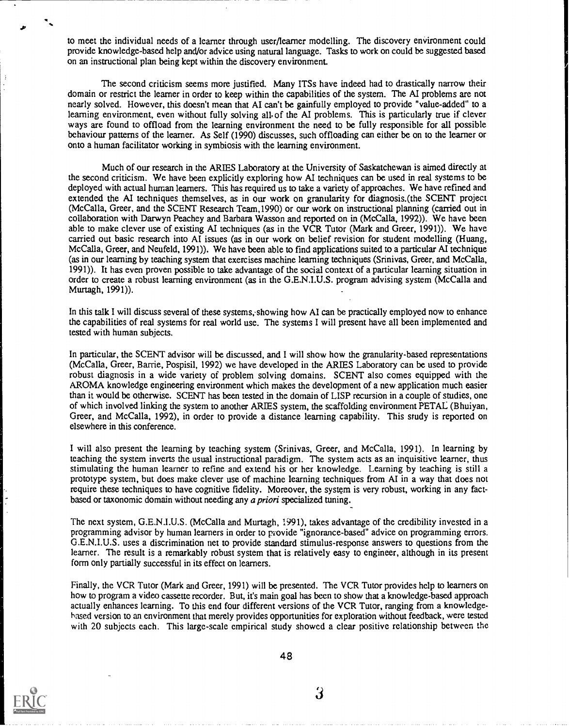to meet the individual needs of a learner through user/learner modelling. The discovery environment could provide knowledge-based help and/or advice using natural language. Tasks to work on could be suggested based on an instructional plan being kept within the discovery environment.

The second criticism seems more justified. Many ITSs have indeed had to drastically narrow their domain or restrict the learner in order to keep within the capabilities of the system. The AI problems are not nearly solved. However, this doesn't mean that AI can't be gainfully employed to provide "value-added" to a learning environment, even without fully solving all-of the Al problems. This is particularly true if clever ways are found to offload from the learning environment the need to be fully responsible for all possible behaviour patterns of the learner. As Self (1990) discusses, such offloading can either be on to the learner or onto a human facilitator working in symbiosis with the learning environment.

Much of our research in the ARIES Laboratory at the University of Saskatchewan is aimed directly at the second criticism. We have been explicitly exploring how AI techniques can be used in real systems to be deployed with actual human learners. This has required us to take a variety of approaches. We have refined and extended the AI techniques themselves, as in our work on granularity for diagnosis.(the SCENT project (Mc Calla, Greer, and the SCENT Research Team,1990) or our work on instructional planning (carried out in collaboration with Darwyn Peachey and Barbara Wasson and reported on in (McCalla, 1992)). We have been able to make clever use of existing AI techniques (as in the VCR Tutor (Mark and Greer, 1991)). We have carried out basic research into AI issues (as in our work on belief revision for student modelling (Huang, Mc Calla, Greer, and Neufeld, 1991)). We have been able to find applications suited to a particular AI technique (as in our learning by teaching system that exercises machine learning techniques (Srinivas, Greer, and Mc Calla, 1991)). It has even proven possible to take advantage of the social context of a particular learning situation in order to create a robust learning environment (as in the G.E.N.I.U.S. program advising system (Mc Calla and Murtagh, 1991)).

In this talk I will discuss several of these systems, showing how AI can be practically employed now to enhance the capabilities of real systems for real world use. The systems I will present have all been implemented and tested with human subjects.

In particular, the SCENT advisor will be discussed, and I will show how the granularity-based representations (Mc Calla, Greer, Barrie, Pospisil, 1992) we have developed in the ARIES Laboratory can be used to provide robust diagnosis in a wide variety of problem solving domains. SCENT also comes equipped with the AROMA knowledge engineering environment which makes the development of a new application much easier than it would be otherwise. SCENT has been tested in the domain of LISP recursion in a couple of studies, one of which involved linking the system to another ARMS system, the scaffolding environment PETAL (Bhuiyan, Greer, and Mc Calla, 1992), in order to provide a distance learning capability. This study is reported on elsewhere in this conference.

I will also present the learning by teaching system (Srinivas, Greer, and Mc Calla, 1991). In learning by teaching the system inverts the usual instructional paradigm. The system acts as an inquisitive learner, thus stimulating the human learner to refine and extend his or her knowledge. Learning by teaching is still a prototype system, but does make clever use of machine learning techniques from AI in a way that does not require these techniques to have cognitive fidelity. Moreover, the system is very robust, working in any factbased or taxonomic domain without needing any a priori specialized tuning.

The next system, G.E.N.I.U.S. (McCalla and Murtagh, 1991), takes advantage of the credibility invested in a programming advisor by human learners in order to piovide "ignorance-based" advice on progamming errors. G.E.N.I.U.S. uses a discrimination net to provide standard stimulus-response answers to questions from the learner. The result is a remarkably robust system that is relatively easy to engineer, although in its present form only partially successful in its effect on learners.

Finally, the VCR Tutor (Mark and Greer, 1991) will be presented. The VCR Tutor provides help to learners on how to program a video cassette recorder. But, it's main goal has been to show that a knowledge-based approach actually enhances learning. To this end four different versions of the VCR Tutor, ranging from a knowledgebased version to an environment that merely provides opportunities for exploration without feedback, were tested with 20 subjects each. This large-scale empirical study showed a clear positive relationship between the



48

3